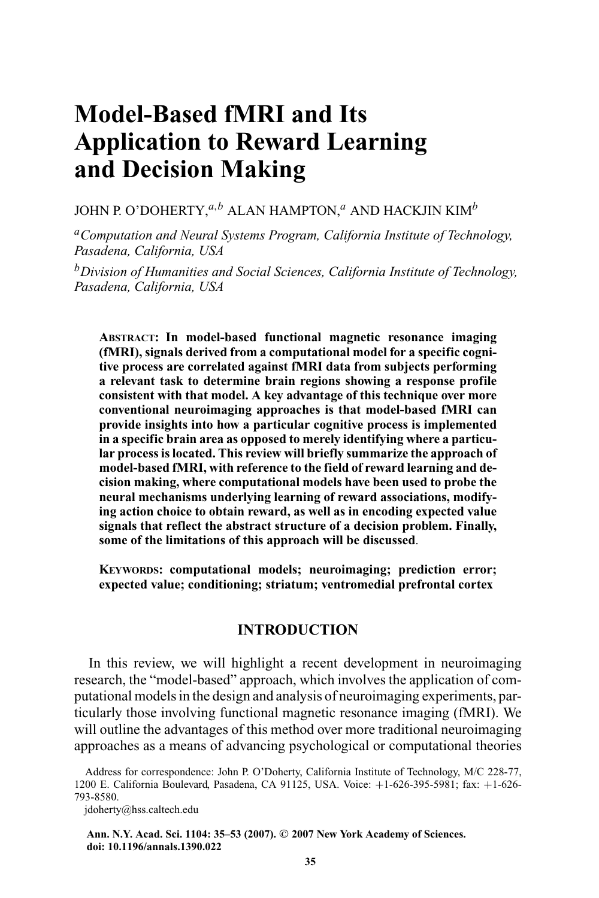# **Model-Based fMRI and Its Application to Reward Learning and Decision Making**

## JOHN P. O'DOHERTY,*a*,*<sup>b</sup>* ALAN HAMPTON,*<sup>a</sup>* AND HACKJIN KIM*<sup>b</sup>*

*aComputation and Neural Systems Program, California Institute of Technology, Pasadena, California, USA*

*bDivision of Humanities and Social Sciences, California Institute of Technology, Pasadena, California, USA*

**ABSTRACT: In model-based functional magnetic resonance imaging (fMRI), signals derived from a computational model for a specific cognitive process are correlated against fMRI data from subjects performing a relevant task to determine brain regions showing a response profile consistent with that model. A key advantage of this technique over more conventional neuroimaging approaches is that model-based fMRI can provide insights into how a particular cognitive process is implemented in a specific brain area as opposed to merely identifying where a particular process is located. This review will briefly summarize the approach of model-based fMRI, with reference to the field of reward learning and decision making, where computational models have been used to probe the neural mechanisms underlying learning of reward associations, modifying action choice to obtain reward, as well as in encoding expected value signals that reflect the abstract structure of a decision problem. Finally, some of the limitations of this approach will be discussed**.

**KEYWORDS: computational models; neuroimaging; prediction error; expected value; conditioning; striatum; ventromedial prefrontal cortex**

### **INTRODUCTION**

In this review, we will highlight a recent development in neuroimaging research, the "model-based" approach, which involves the application of computational models in the design and analysis of neuroimaging experiments, particularly those involving functional magnetic resonance imaging (fMRI). We will outline the advantages of this method over more traditional neuroimaging approaches as a means of advancing psychological or computational theories

jdoherty@hss.caltech.edu

**Ann. N.Y. Acad. Sci. 1104: 35–53 (2007).** *-***<sup>C</sup> 2007 New York Academy of Sciences. doi: 10.1196/annals.1390.022**

Address for correspondence: John P. O'Doherty, California Institute of Technology, M/C 228-77, 1200 E. California Boulevard, Pasadena, CA 91125, USA. Voice: +1-626-395-5981; fax: +1-626- 793-8580.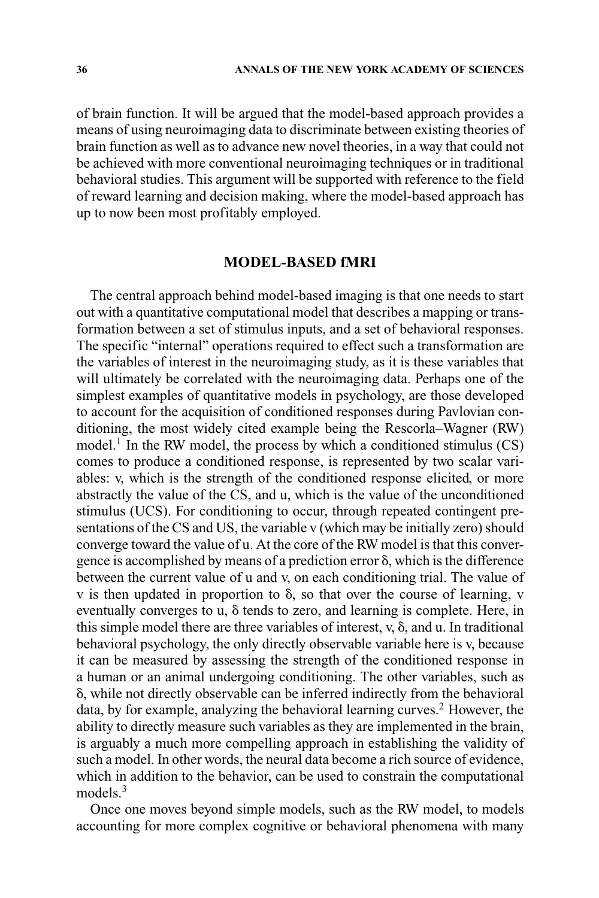of brain function. It will be argued that the model-based approach provides a means of using neuroimaging data to discriminate between existing theories of brain function as well as to advance new novel theories, in a way that could not be achieved with more conventional neuroimaging techniques or in traditional behavioral studies. This argument will be supported with reference to the field of reward learning and decision making, where the model-based approach has up to now been most profitably employed.

#### **MODEL-BASED fMRI**

The central approach behind model-based imaging is that one needs to start out with a quantitative computational model that describes a mapping or transformation between a set of stimulus inputs, and a set of behavioral responses. The specific "internal" operations required to effect such a transformation are the variables of interest in the neuroimaging study, as it is these variables that will ultimately be correlated with the neuroimaging data. Perhaps one of the simplest examples of quantitative models in psychology, are those developed to account for the acquisition of conditioned responses during Pavlovian conditioning, the most widely cited example being the Rescorla–Wagner (RW) model.<sup>1</sup> In the RW model, the process by which a conditioned stimulus  $(CS)$ comes to produce a conditioned response, is represented by two scalar variables: v, which is the strength of the conditioned response elicited, or more abstractly the value of the CS, and u, which is the value of the unconditioned stimulus (UCS). For conditioning to occur, through repeated contingent presentations of the CS and US, the variable v (which may be initially zero) should converge toward the value of u. At the core of the RW model is that this convergence is accomplished by means of a prediction error  $\delta$ , which is the difference between the current value of u and v, on each conditioning trial. The value of  $v$  is then updated in proportion to  $\delta$ , so that over the course of learning,  $v$ eventually converges to  $u$ ,  $\delta$  tends to zero, and learning is complete. Here, in this simple model there are three variables of interest,  $v$ ,  $\delta$ , and  $u$ . In traditional behavioral psychology, the only directly observable variable here is v, because it can be measured by assessing the strength of the conditioned response in a human or an animal undergoing conditioning. The other variables, such as  $\delta$ , while not directly observable can be inferred indirectly from the behavioral data, by for example, analyzing the behavioral learning curves.<sup>2</sup> However, the ability to directly measure such variables as they are implemented in the brain, is arguably a much more compelling approach in establishing the validity of such a model. In other words, the neural data become a rich source of evidence, which in addition to the behavior, can be used to constrain the computational models $3$ 

Once one moves beyond simple models, such as the RW model, to models accounting for more complex cognitive or behavioral phenomena with many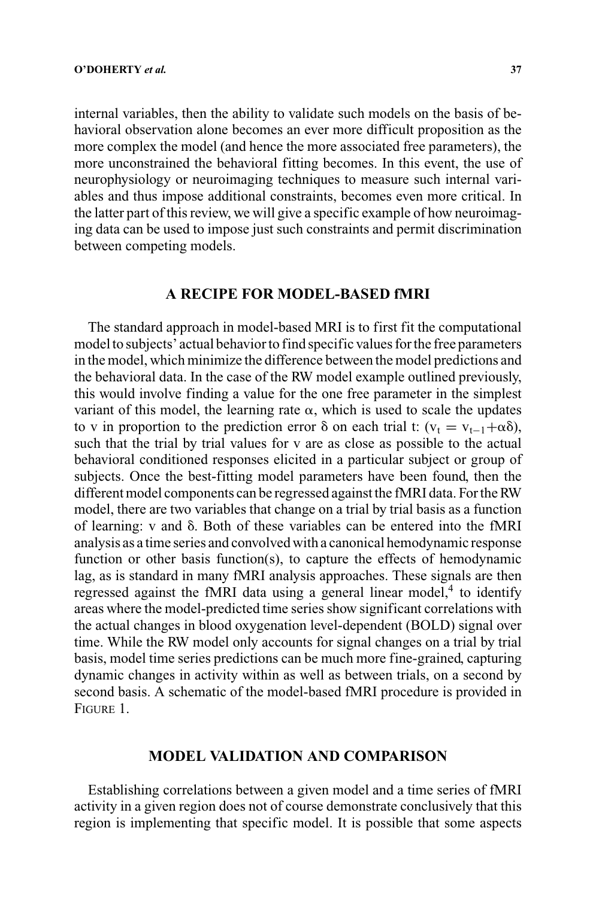internal variables, then the ability to validate such models on the basis of behavioral observation alone becomes an ever more difficult proposition as the more complex the model (and hence the more associated free parameters), the more unconstrained the behavioral fitting becomes. In this event, the use of neurophysiology or neuroimaging techniques to measure such internal variables and thus impose additional constraints, becomes even more critical. In the latter part of this review, we will give a specific example of how neuroimaging data can be used to impose just such constraints and permit discrimination between competing models.

#### **A RECIPE FOR MODEL-BASED fMRI**

The standard approach in model-based MRI is to first fit the computational model to subjects' actual behavior to find specific values for the free parameters in the model, which minimize the difference between the model predictions and the behavioral data. In the case of the RW model example outlined previously, this would involve finding a value for the one free parameter in the simplest variant of this model, the learning rate  $\alpha$ , which is used to scale the updates to v in proportion to the prediction error  $\delta$  on each trial t: ( $v_t = v_{t-1} + \alpha \delta$ ), such that the trial by trial values for v are as close as possible to the actual behavioral conditioned responses elicited in a particular subject or group of subjects. Once the best-fitting model parameters have been found, then the different model components can be regressed against the fMRI data. For the RW model, there are two variables that change on a trial by trial basis as a function of learning: v and  $\delta$ . Both of these variables can be entered into the fMRI analysis as a time series and convolved with a canonical hemodynamic response function or other basis function(s), to capture the effects of hemodynamic lag, as is standard in many fMRI analysis approaches. These signals are then regressed against the fMRI data using a general linear model, $4$  to identify areas where the model-predicted time series show significant correlations with the actual changes in blood oxygenation level-dependent (BOLD) signal over time. While the RW model only accounts for signal changes on a trial by trial basis, model time series predictions can be much more fine-grained, capturing dynamic changes in activity within as well as between trials, on a second by second basis. A schematic of the model-based fMRI procedure is provided in FIGURE 1.

### **MODEL VALIDATION AND COMPARISON**

Establishing correlations between a given model and a time series of fMRI activity in a given region does not of course demonstrate conclusively that this region is implementing that specific model. It is possible that some aspects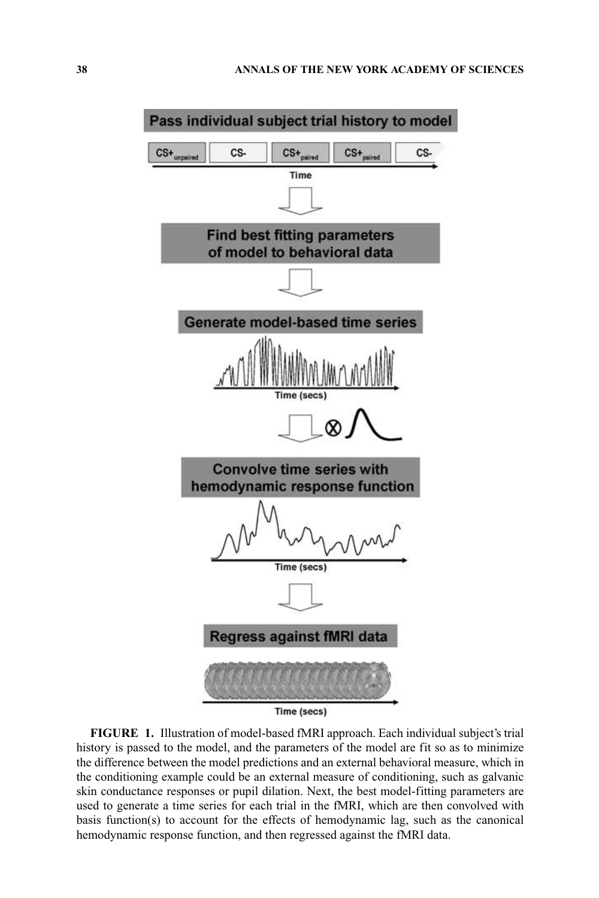

**FIGURE 1.** Illustration of model-based fMRI approach. Each individual subject's trial history is passed to the model, and the parameters of the model are fit so as to minimize the difference between the model predictions and an external behavioral measure, which in the conditioning example could be an external measure of conditioning, such as galvanic skin conductance responses or pupil dilation. Next, the best model-fitting parameters are used to generate a time series for each trial in the fMRI, which are then convolved with basis function(s) to account for the effects of hemodynamic lag, such as the canonical hemodynamic response function, and then regressed against the fMRI data.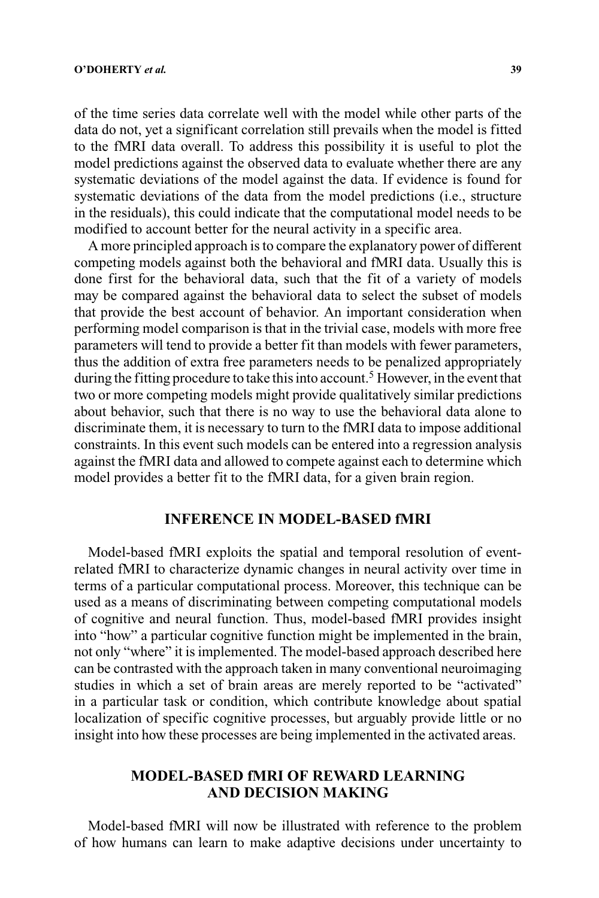of the time series data correlate well with the model while other parts of the data do not, yet a significant correlation still prevails when the model is fitted to the fMRI data overall. To address this possibility it is useful to plot the model predictions against the observed data to evaluate whether there are any systematic deviations of the model against the data. If evidence is found for systematic deviations of the data from the model predictions (i.e., structure in the residuals), this could indicate that the computational model needs to be modified to account better for the neural activity in a specific area.

A more principled approach is to compare the explanatory power of different competing models against both the behavioral and fMRI data. Usually this is done first for the behavioral data, such that the fit of a variety of models may be compared against the behavioral data to select the subset of models that provide the best account of behavior. An important consideration when performing model comparison is that in the trivial case, models with more free parameters will tend to provide a better fit than models with fewer parameters, thus the addition of extra free parameters needs to be penalized appropriately during the fitting procedure to take this into account.<sup>5</sup> However, in the event that two or more competing models might provide qualitatively similar predictions about behavior, such that there is no way to use the behavioral data alone to discriminate them, it is necessary to turn to the fMRI data to impose additional constraints. In this event such models can be entered into a regression analysis against the fMRI data and allowed to compete against each to determine which model provides a better fit to the fMRI data, for a given brain region.

#### **INFERENCE IN MODEL-BASED fMRI**

Model-based fMRI exploits the spatial and temporal resolution of eventrelated fMRI to characterize dynamic changes in neural activity over time in terms of a particular computational process. Moreover, this technique can be used as a means of discriminating between competing computational models of cognitive and neural function. Thus, model-based fMRI provides insight into "how" a particular cognitive function might be implemented in the brain, not only "where" it is implemented. The model-based approach described here can be contrasted with the approach taken in many conventional neuroimaging studies in which a set of brain areas are merely reported to be "activated" in a particular task or condition, which contribute knowledge about spatial localization of specific cognitive processes, but arguably provide little or no insight into how these processes are being implemented in the activated areas.

### **MODEL-BASED fMRI OF REWARD LEARNING AND DECISION MAKING**

Model-based fMRI will now be illustrated with reference to the problem of how humans can learn to make adaptive decisions under uncertainty to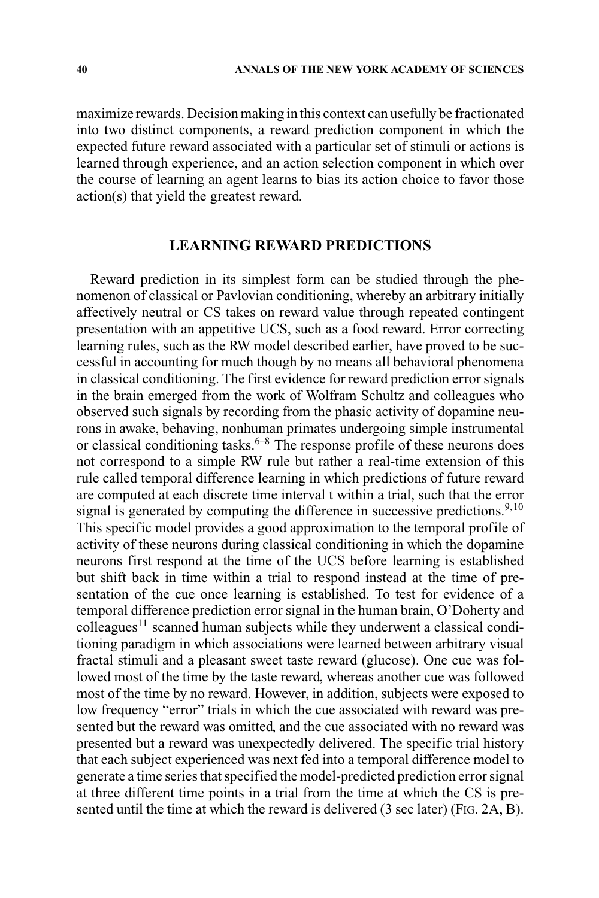maximize rewards. Decision making in this context can usefully be fractionated into two distinct components, a reward prediction component in which the expected future reward associated with a particular set of stimuli or actions is learned through experience, and an action selection component in which over the course of learning an agent learns to bias its action choice to favor those action(s) that yield the greatest reward.

### **LEARNING REWARD PREDICTIONS**

Reward prediction in its simplest form can be studied through the phenomenon of classical or Pavlovian conditioning, whereby an arbitrary initially affectively neutral or CS takes on reward value through repeated contingent presentation with an appetitive UCS, such as a food reward. Error correcting learning rules, such as the RW model described earlier, have proved to be successful in accounting for much though by no means all behavioral phenomena in classical conditioning. The first evidence for reward prediction error signals in the brain emerged from the work of Wolfram Schultz and colleagues who observed such signals by recording from the phasic activity of dopamine neurons in awake, behaving, nonhuman primates undergoing simple instrumental or classical conditioning tasks.<sup> $6-8$ </sup> The response profile of these neurons does not correspond to a simple RW rule but rather a real-time extension of this rule called temporal difference learning in which predictions of future reward are computed at each discrete time interval t within a trial, such that the error signal is generated by computing the difference in successive predictions.<sup>9,10</sup> This specific model provides a good approximation to the temporal profile of activity of these neurons during classical conditioning in which the dopamine neurons first respond at the time of the UCS before learning is established but shift back in time within a trial to respond instead at the time of presentation of the cue once learning is established. To test for evidence of a temporal difference prediction error signal in the human brain, O'Doherty and  $\text{colleagues}^{11}$  scanned human subjects while they underwent a classical conditioning paradigm in which associations were learned between arbitrary visual fractal stimuli and a pleasant sweet taste reward (glucose). One cue was followed most of the time by the taste reward, whereas another cue was followed most of the time by no reward. However, in addition, subjects were exposed to low frequency "error" trials in which the cue associated with reward was presented but the reward was omitted, and the cue associated with no reward was presented but a reward was unexpectedly delivered. The specific trial history that each subject experienced was next fed into a temporal difference model to generate a time series that specified the model-predicted prediction error signal at three different time points in a trial from the time at which the CS is presented until the time at which the reward is delivered (3 sec later) (FIG. 2A, B).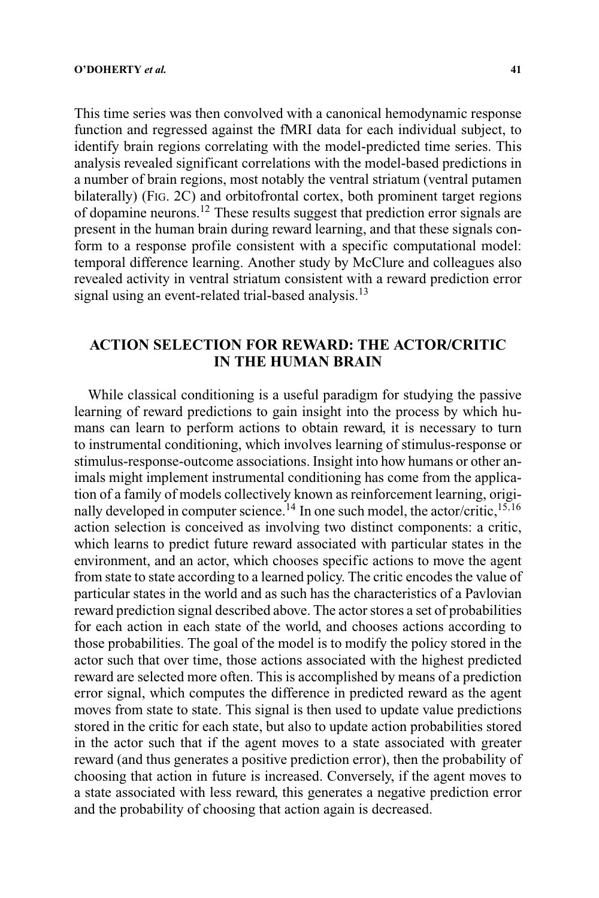This time series was then convolved with a canonical hemodynamic response function and regressed against the fMRI data for each individual subject, to identify brain regions correlating with the model-predicted time series. This analysis revealed significant correlations with the model-based predictions in a number of brain regions, most notably the ventral striatum (ventral putamen bilaterally) (FIG. 2C) and orbitofrontal cortex, both prominent target regions of dopamine neurons.<sup>12</sup> These results suggest that prediction error signals are present in the human brain during reward learning, and that these signals conform to a response profile consistent with a specific computational model: temporal difference learning. Another study by McClure and colleagues also revealed activity in ventral striatum consistent with a reward prediction error signal using an event-related trial-based analysis.<sup>13</sup>

## **ACTION SELECTION FOR REWARD: THE ACTOR/CRITIC IN THE HUMAN BRAIN**

While classical conditioning is a useful paradigm for studying the passive learning of reward predictions to gain insight into the process by which humans can learn to perform actions to obtain reward, it is necessary to turn to instrumental conditioning, which involves learning of stimulus-response or stimulus-response-outcome associations. Insight into how humans or other animals might implement instrumental conditioning has come from the application of a family of models collectively known as reinforcement learning, originally developed in computer science.<sup>14</sup> In one such model, the actor/critic,<sup>15,16</sup> action selection is conceived as involving two distinct components: a critic, which learns to predict future reward associated with particular states in the environment, and an actor, which chooses specific actions to move the agent from state to state according to a learned policy. The critic encodes the value of particular states in the world and as such has the characteristics of a Pavlovian reward prediction signal described above. The actor stores a set of probabilities for each action in each state of the world, and chooses actions according to those probabilities. The goal of the model is to modify the policy stored in the actor such that over time, those actions associated with the highest predicted reward are selected more often. This is accomplished by means of a prediction error signal, which computes the difference in predicted reward as the agent moves from state to state. This signal is then used to update value predictions stored in the critic for each state, but also to update action probabilities stored in the actor such that if the agent moves to a state associated with greater reward (and thus generates a positive prediction error), then the probability of choosing that action in future is increased. Conversely, if the agent moves to a state associated with less reward, this generates a negative prediction error and the probability of choosing that action again is decreased.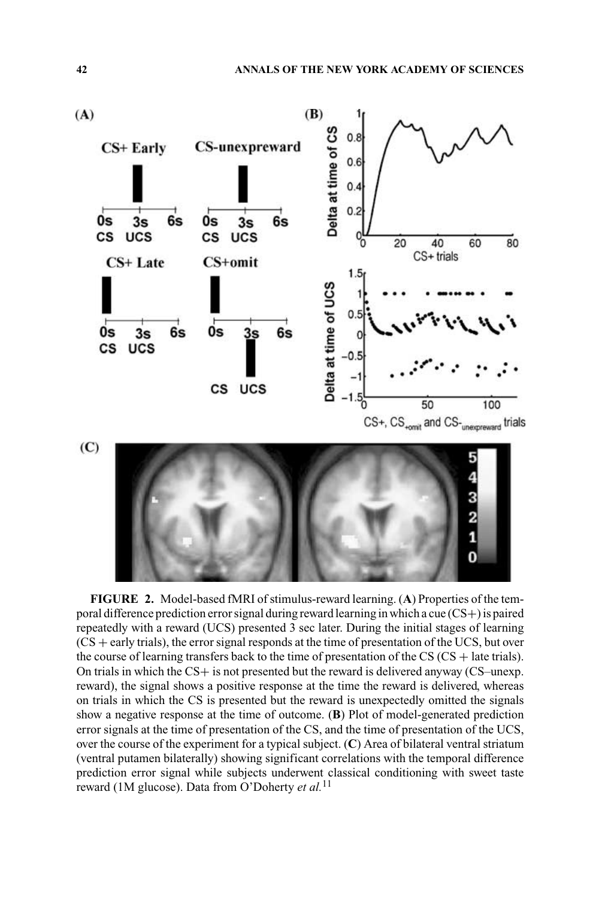

**FIGURE 2.** Model-based fMRI of stimulus-reward learning. (**A**) Properties of the temporal difference prediction error signal during reward learning in which a cue (CS+) is paired repeatedly with a reward (UCS) presented 3 sec later. During the initial stages of learning  $(CS +$  early trials), the error signal responds at the time of presentation of the UCS, but over the course of learning transfers back to the time of presentation of the CS ( $CS +$  late trials). On trials in which the CS+ is not presented but the reward is delivered anyway (CS–unexp. reward), the signal shows a positive response at the time the reward is delivered, whereas on trials in which the CS is presented but the reward is unexpectedly omitted the signals show a negative response at the time of outcome. (**B**) Plot of model-generated prediction error signals at the time of presentation of the CS, and the time of presentation of the UCS, over the course of the experiment for a typical subject. (**C**) Area of bilateral ventral striatum (ventral putamen bilaterally) showing significant correlations with the temporal difference prediction error signal while subjects underwent classical conditioning with sweet taste reward (1M glucose). Data from O'Doherty *et al.*<sup>11</sup>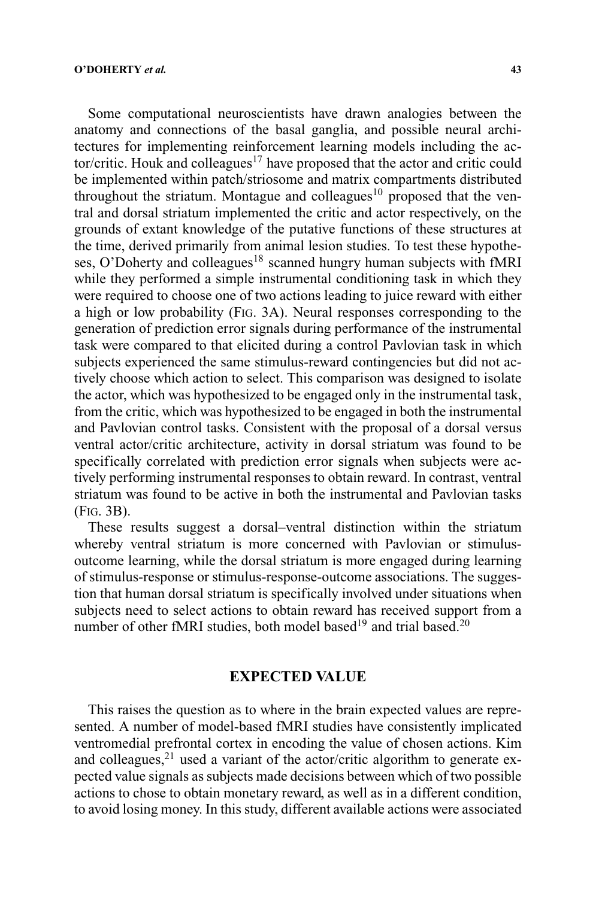#### **O'DOHERTY** *et al.* **43**

Some computational neuroscientists have drawn analogies between the anatomy and connections of the basal ganglia, and possible neural architectures for implementing reinforcement learning models including the actor/critic. Houk and colleagues<sup>17</sup> have proposed that the actor and critic could be implemented within patch/striosome and matrix compartments distributed throughout the striatum. Montague and colleagues<sup>10</sup> proposed that the ventral and dorsal striatum implemented the critic and actor respectively, on the grounds of extant knowledge of the putative functions of these structures at the time, derived primarily from animal lesion studies. To test these hypotheses, O'Doherty and colleagues<sup>18</sup> scanned hungry human subjects with fMRI while they performed a simple instrumental conditioning task in which they were required to choose one of two actions leading to juice reward with either a high or low probability (FIG. 3A). Neural responses corresponding to the generation of prediction error signals during performance of the instrumental task were compared to that elicited during a control Pavlovian task in which subjects experienced the same stimulus-reward contingencies but did not actively choose which action to select. This comparison was designed to isolate the actor, which was hypothesized to be engaged only in the instrumental task, from the critic, which was hypothesized to be engaged in both the instrumental and Pavlovian control tasks. Consistent with the proposal of a dorsal versus ventral actor/critic architecture, activity in dorsal striatum was found to be specifically correlated with prediction error signals when subjects were actively performing instrumental responses to obtain reward. In contrast, ventral striatum was found to be active in both the instrumental and Pavlovian tasks (FIG. 3B).

These results suggest a dorsal–ventral distinction within the striatum whereby ventral striatum is more concerned with Pavlovian or stimulusoutcome learning, while the dorsal striatum is more engaged during learning of stimulus-response or stimulus-response-outcome associations. The suggestion that human dorsal striatum is specifically involved under situations when subjects need to select actions to obtain reward has received support from a number of other fMRI studies, both model based<sup>19</sup> and trial based.<sup>20</sup>

#### **EXPECTED VALUE**

This raises the question as to where in the brain expected values are represented. A number of model-based fMRI studies have consistently implicated ventromedial prefrontal cortex in encoding the value of chosen actions. Kim and colleagues,  $2<sup>1</sup>$  used a variant of the actor/critic algorithm to generate expected value signals as subjects made decisions between which of two possible actions to chose to obtain monetary reward, as well as in a different condition, to avoid losing money. In this study, different available actions were associated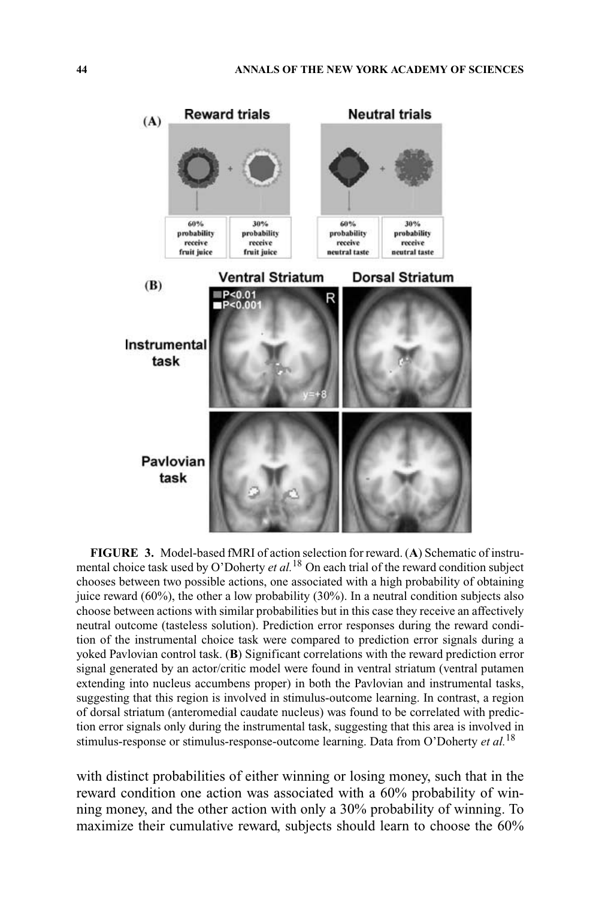

**FIGURE 3.** Model-based fMRI of action selection for reward. (**A**) Schematic of instrumental choice task used by O'Doherty *et al.*<sup>18</sup> On each trial of the reward condition subject chooses between two possible actions, one associated with a high probability of obtaining juice reward (60%), the other a low probability (30%). In a neutral condition subjects also choose between actions with similar probabilities but in this case they receive an affectively neutral outcome (tasteless solution). Prediction error responses during the reward condition of the instrumental choice task were compared to prediction error signals during a yoked Pavlovian control task. (**B**) Significant correlations with the reward prediction error signal generated by an actor/critic model were found in ventral striatum (ventral putamen extending into nucleus accumbens proper) in both the Pavlovian and instrumental tasks, suggesting that this region is involved in stimulus-outcome learning. In contrast, a region of dorsal striatum (anteromedial caudate nucleus) was found to be correlated with prediction error signals only during the instrumental task, suggesting that this area is involved in stimulus-response or stimulus-response-outcome learning. Data from O'Doherty *et al.*<sup>18</sup>

with distinct probabilities of either winning or losing money, such that in the reward condition one action was associated with a 60% probability of winning money, and the other action with only a 30% probability of winning. To maximize their cumulative reward, subjects should learn to choose the 60%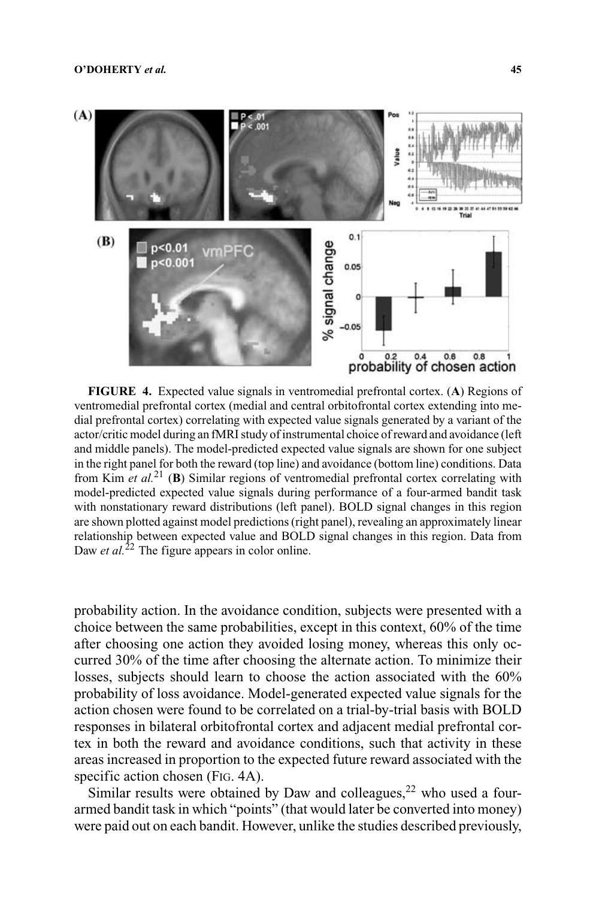

**FIGURE 4.** Expected value signals in ventromedial prefrontal cortex. (**A**) Regions of ventromedial prefrontal cortex (medial and central orbitofrontal cortex extending into medial prefrontal cortex) correlating with expected value signals generated by a variant of the actor/critic model during an fMRI study of instrumental choice of reward and avoidance (left and middle panels). The model-predicted expected value signals are shown for one subject in the right panel for both the reward (top line) and avoidance (bottom line) conditions. Data from Kim *et al.*<sup>21</sup> (**B**) Similar regions of ventromedial prefrontal cortex correlating with model-predicted expected value signals during performance of a four-armed bandit task with nonstationary reward distributions (left panel). BOLD signal changes in this region are shown plotted against model predictions (right panel), revealing an approximately linear relationship between expected value and BOLD signal changes in this region. Data from Daw *et al.*<sup>22</sup> The figure appears in color online.

probability action. In the avoidance condition, subjects were presented with a choice between the same probabilities, except in this context, 60% of the time after choosing one action they avoided losing money, whereas this only occurred 30% of the time after choosing the alternate action. To minimize their losses, subjects should learn to choose the action associated with the 60% probability of loss avoidance. Model-generated expected value signals for the action chosen were found to be correlated on a trial-by-trial basis with BOLD responses in bilateral orbitofrontal cortex and adjacent medial prefrontal cortex in both the reward and avoidance conditions, such that activity in these areas increased in proportion to the expected future reward associated with the specific action chosen (FIG. 4A).

Similar results were obtained by Daw and colleagues, $22$  who used a fourarmed bandit task in which "points" (that would later be converted into money) were paid out on each bandit. However, unlike the studies described previously,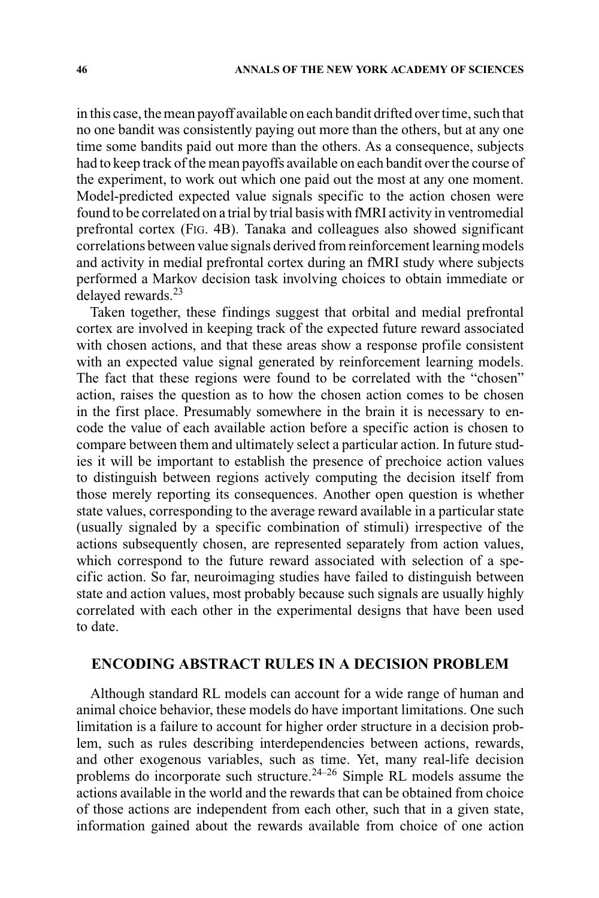in this case, the mean payoff available on each bandit drifted over time, such that no one bandit was consistently paying out more than the others, but at any one time some bandits paid out more than the others. As a consequence, subjects had to keep track of the mean payoffs available on each bandit over the course of the experiment, to work out which one paid out the most at any one moment. Model-predicted expected value signals specific to the action chosen were found to be correlated on a trial by trial basis with fMRI activity in ventromedial prefrontal cortex (FIG. 4B). Tanaka and colleagues also showed significant correlations between value signals derived from reinforcement learning models and activity in medial prefrontal cortex during an fMRI study where subjects performed a Markov decision task involving choices to obtain immediate or delayed rewards.<sup>23</sup>

Taken together, these findings suggest that orbital and medial prefrontal cortex are involved in keeping track of the expected future reward associated with chosen actions, and that these areas show a response profile consistent with an expected value signal generated by reinforcement learning models. The fact that these regions were found to be correlated with the "chosen" action, raises the question as to how the chosen action comes to be chosen in the first place. Presumably somewhere in the brain it is necessary to encode the value of each available action before a specific action is chosen to compare between them and ultimately select a particular action. In future studies it will be important to establish the presence of prechoice action values to distinguish between regions actively computing the decision itself from those merely reporting its consequences. Another open question is whether state values, corresponding to the average reward available in a particular state (usually signaled by a specific combination of stimuli) irrespective of the actions subsequently chosen, are represented separately from action values, which correspond to the future reward associated with selection of a specific action. So far, neuroimaging studies have failed to distinguish between state and action values, most probably because such signals are usually highly correlated with each other in the experimental designs that have been used to date.

#### **ENCODING ABSTRACT RULES IN A DECISION PROBLEM**

Although standard RL models can account for a wide range of human and animal choice behavior, these models do have important limitations. One such limitation is a failure to account for higher order structure in a decision problem, such as rules describing interdependencies between actions, rewards, and other exogenous variables, such as time. Yet, many real-life decision problems do incorporate such structure.<sup>24–26</sup> Simple RL models assume the actions available in the world and the rewards that can be obtained from choice of those actions are independent from each other, such that in a given state, information gained about the rewards available from choice of one action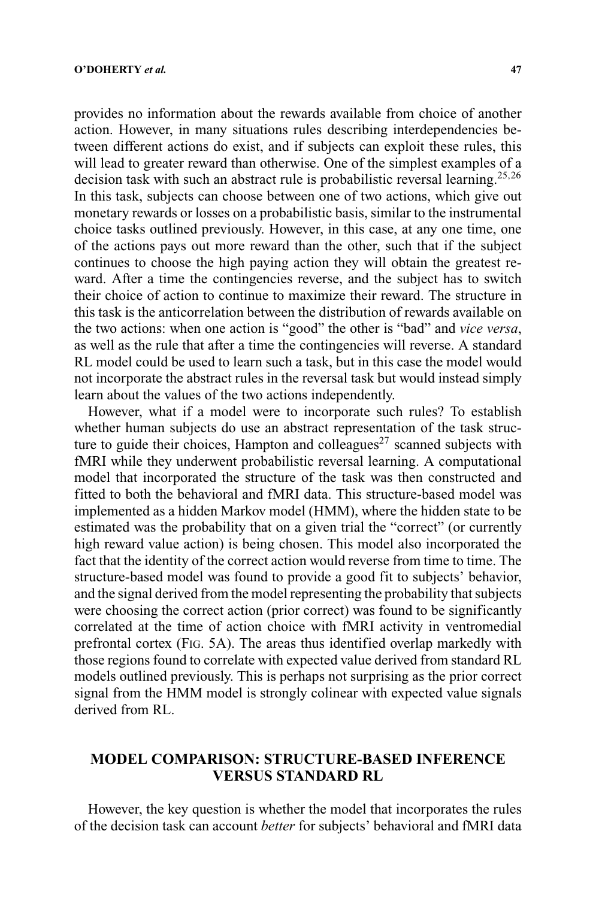provides no information about the rewards available from choice of another action. However, in many situations rules describing interdependencies between different actions do exist, and if subjects can exploit these rules, this will lead to greater reward than otherwise. One of the simplest examples of a decision task with such an abstract rule is probabilistic reversal learning.<sup>25,26</sup> In this task, subjects can choose between one of two actions, which give out monetary rewards or losses on a probabilistic basis, similar to the instrumental choice tasks outlined previously. However, in this case, at any one time, one of the actions pays out more reward than the other, such that if the subject continues to choose the high paying action they will obtain the greatest reward. After a time the contingencies reverse, and the subject has to switch their choice of action to continue to maximize their reward. The structure in this task is the anticorrelation between the distribution of rewards available on the two actions: when one action is "good" the other is "bad" and *vice versa*, as well as the rule that after a time the contingencies will reverse. A standard RL model could be used to learn such a task, but in this case the model would not incorporate the abstract rules in the reversal task but would instead simply learn about the values of the two actions independently.

However, what if a model were to incorporate such rules? To establish whether human subjects do use an abstract representation of the task structure to guide their choices, Hampton and colleagues<sup>27</sup> scanned subjects with fMRI while they underwent probabilistic reversal learning. A computational model that incorporated the structure of the task was then constructed and fitted to both the behavioral and fMRI data. This structure-based model was implemented as a hidden Markov model (HMM), where the hidden state to be estimated was the probability that on a given trial the "correct" (or currently high reward value action) is being chosen. This model also incorporated the fact that the identity of the correct action would reverse from time to time. The structure-based model was found to provide a good fit to subjects' behavior, and the signal derived from the model representing the probability that subjects were choosing the correct action (prior correct) was found to be significantly correlated at the time of action choice with fMRI activity in ventromedial prefrontal cortex (FIG. 5A). The areas thus identified overlap markedly with those regions found to correlate with expected value derived from standard RL models outlined previously. This is perhaps not surprising as the prior correct signal from the HMM model is strongly colinear with expected value signals derived from RL.

## **MODEL COMPARISON: STRUCTURE-BASED INFERENCE VERSUS STANDARD RL**

However, the key question is whether the model that incorporates the rules of the decision task can account *better* for subjects' behavioral and fMRI data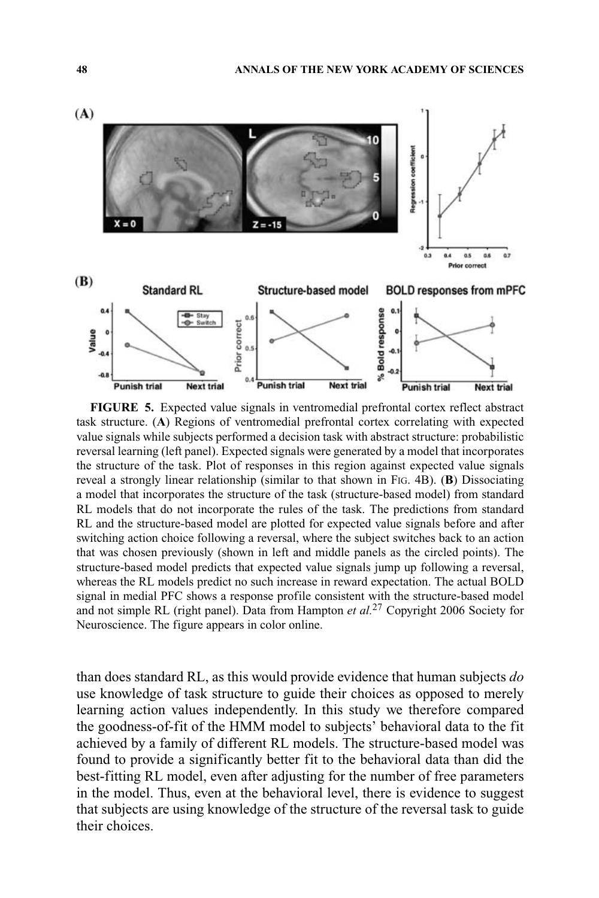

**FIGURE 5.** Expected value signals in ventromedial prefrontal cortex reflect abstract task structure. (**A**) Regions of ventromedial prefrontal cortex correlating with expected value signals while subjects performed a decision task with abstract structure: probabilistic reversal learning (left panel). Expected signals were generated by a model that incorporates the structure of the task. Plot of responses in this region against expected value signals reveal a strongly linear relationship (similar to that shown in FIG. 4B). (**B**) Dissociating a model that incorporates the structure of the task (structure-based model) from standard RL models that do not incorporate the rules of the task. The predictions from standard RL and the structure-based model are plotted for expected value signals before and after switching action choice following a reversal, where the subject switches back to an action that was chosen previously (shown in left and middle panels as the circled points). The structure-based model predicts that expected value signals jump up following a reversal, whereas the RL models predict no such increase in reward expectation. The actual BOLD signal in medial PFC shows a response profile consistent with the structure-based model and not simple RL (right panel). Data from Hampton *et al.*<sup>27</sup> Copyright 2006 Society for Neuroscience. The figure appears in color online.

than does standard RL, as this would provide evidence that human subjects *do* use knowledge of task structure to guide their choices as opposed to merely learning action values independently. In this study we therefore compared the goodness-of-fit of the HMM model to subjects' behavioral data to the fit achieved by a family of different RL models. The structure-based model was found to provide a significantly better fit to the behavioral data than did the best-fitting RL model, even after adjusting for the number of free parameters in the model. Thus, even at the behavioral level, there is evidence to suggest that subjects are using knowledge of the structure of the reversal task to guide their choices.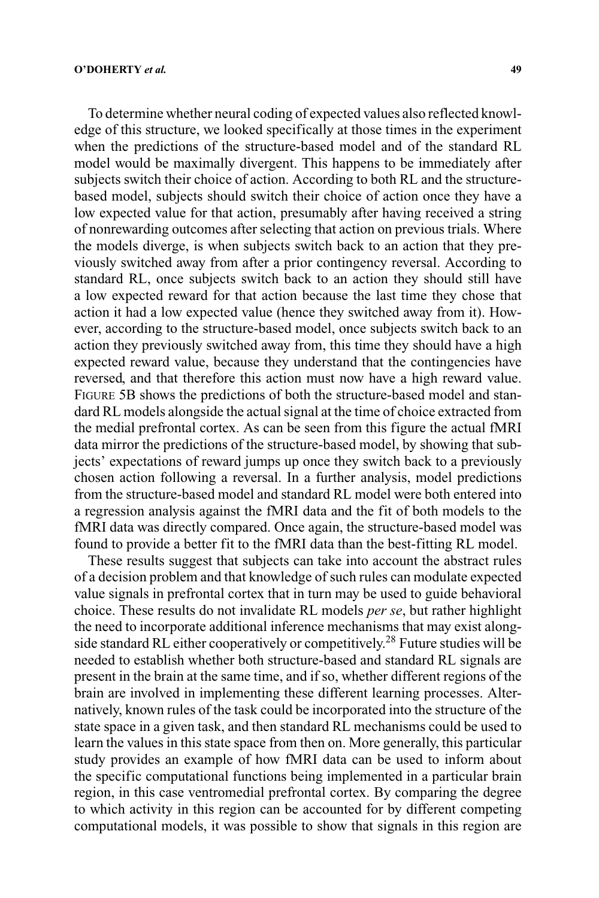#### **O'DOHERTY** *et al.* **49**

To determine whether neural coding of expected values also reflected knowledge of this structure, we looked specifically at those times in the experiment when the predictions of the structure-based model and of the standard RL model would be maximally divergent. This happens to be immediately after subjects switch their choice of action. According to both RL and the structurebased model, subjects should switch their choice of action once they have a low expected value for that action, presumably after having received a string of nonrewarding outcomes after selecting that action on previous trials. Where the models diverge, is when subjects switch back to an action that they previously switched away from after a prior contingency reversal. According to standard RL, once subjects switch back to an action they should still have a low expected reward for that action because the last time they chose that action it had a low expected value (hence they switched away from it). However, according to the structure-based model, once subjects switch back to an action they previously switched away from, this time they should have a high expected reward value, because they understand that the contingencies have reversed, and that therefore this action must now have a high reward value. FIGURE 5B shows the predictions of both the structure-based model and standard RL models alongside the actual signal at the time of choice extracted from the medial prefrontal cortex. As can be seen from this figure the actual fMRI data mirror the predictions of the structure-based model, by showing that subjects' expectations of reward jumps up once they switch back to a previously chosen action following a reversal. In a further analysis, model predictions from the structure-based model and standard RL model were both entered into a regression analysis against the fMRI data and the fit of both models to the fMRI data was directly compared. Once again, the structure-based model was found to provide a better fit to the fMRI data than the best-fitting RL model.

These results suggest that subjects can take into account the abstract rules of a decision problem and that knowledge of such rules can modulate expected value signals in prefrontal cortex that in turn may be used to guide behavioral choice. These results do not invalidate RL models *per se*, but rather highlight the need to incorporate additional inference mechanisms that may exist alongside standard RL either cooperatively or competitively.<sup>28</sup> Future studies will be needed to establish whether both structure-based and standard RL signals are present in the brain at the same time, and if so, whether different regions of the brain are involved in implementing these different learning processes. Alternatively, known rules of the task could be incorporated into the structure of the state space in a given task, and then standard RL mechanisms could be used to learn the values in this state space from then on. More generally, this particular study provides an example of how fMRI data can be used to inform about the specific computational functions being implemented in a particular brain region, in this case ventromedial prefrontal cortex. By comparing the degree to which activity in this region can be accounted for by different competing computational models, it was possible to show that signals in this region are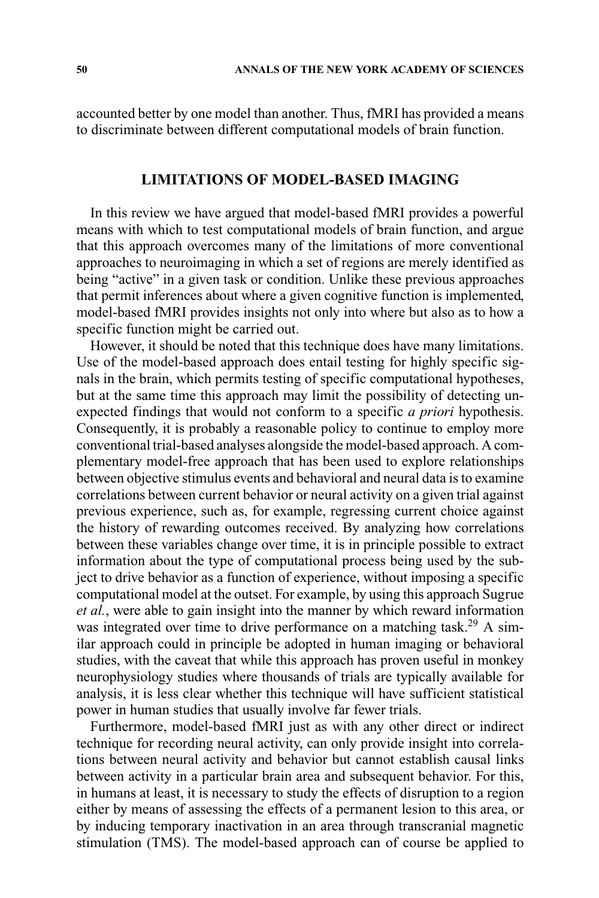accounted better by one model than another. Thus, fMRI has provided a means to discriminate between different computational models of brain function.

#### **LIMITATIONS OF MODEL-BASED IMAGING**

In this review we have argued that model-based fMRI provides a powerful means with which to test computational models of brain function, and argue that this approach overcomes many of the limitations of more conventional approaches to neuroimaging in which a set of regions are merely identified as being "active" in a given task or condition. Unlike these previous approaches that permit inferences about where a given cognitive function is implemented, model-based fMRI provides insights not only into where but also as to how a specific function might be carried out.

However, it should be noted that this technique does have many limitations. Use of the model-based approach does entail testing for highly specific signals in the brain, which permits testing of specific computational hypotheses, but at the same time this approach may limit the possibility of detecting unexpected findings that would not conform to a specific *a priori* hypothesis. Consequently, it is probably a reasonable policy to continue to employ more conventional trial-based analyses alongside the model-based approach. A complementary model-free approach that has been used to explore relationships between objective stimulus events and behavioral and neural data is to examine correlations between current behavior or neural activity on a given trial against previous experience, such as, for example, regressing current choice against the history of rewarding outcomes received. By analyzing how correlations between these variables change over time, it is in principle possible to extract information about the type of computational process being used by the subject to drive behavior as a function of experience, without imposing a specific computational model at the outset. For example, by using this approach Sugrue *et al.*, were able to gain insight into the manner by which reward information was integrated over time to drive performance on a matching task.<sup>29</sup> A similar approach could in principle be adopted in human imaging or behavioral studies, with the caveat that while this approach has proven useful in monkey neurophysiology studies where thousands of trials are typically available for analysis, it is less clear whether this technique will have sufficient statistical power in human studies that usually involve far fewer trials.

Furthermore, model-based fMRI just as with any other direct or indirect technique for recording neural activity, can only provide insight into correlations between neural activity and behavior but cannot establish causal links between activity in a particular brain area and subsequent behavior. For this, in humans at least, it is necessary to study the effects of disruption to a region either by means of assessing the effects of a permanent lesion to this area, or by inducing temporary inactivation in an area through transcranial magnetic stimulation (TMS). The model-based approach can of course be applied to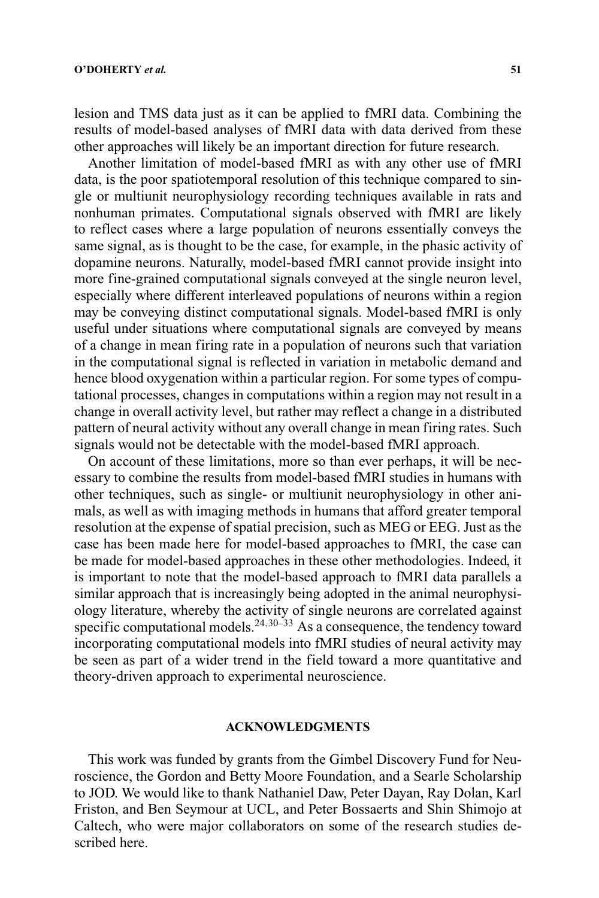lesion and TMS data just as it can be applied to fMRI data. Combining the results of model-based analyses of fMRI data with data derived from these other approaches will likely be an important direction for future research.

Another limitation of model-based fMRI as with any other use of fMRI data, is the poor spatiotemporal resolution of this technique compared to single or multiunit neurophysiology recording techniques available in rats and nonhuman primates. Computational signals observed with fMRI are likely to reflect cases where a large population of neurons essentially conveys the same signal, as is thought to be the case, for example, in the phasic activity of dopamine neurons. Naturally, model-based fMRI cannot provide insight into more fine-grained computational signals conveyed at the single neuron level, especially where different interleaved populations of neurons within a region may be conveying distinct computational signals. Model-based fMRI is only useful under situations where computational signals are conveyed by means of a change in mean firing rate in a population of neurons such that variation in the computational signal is reflected in variation in metabolic demand and hence blood oxygenation within a particular region. For some types of computational processes, changes in computations within a region may not result in a change in overall activity level, but rather may reflect a change in a distributed pattern of neural activity without any overall change in mean firing rates. Such signals would not be detectable with the model-based fMRI approach.

On account of these limitations, more so than ever perhaps, it will be necessary to combine the results from model-based fMRI studies in humans with other techniques, such as single- or multiunit neurophysiology in other animals, as well as with imaging methods in humans that afford greater temporal resolution at the expense of spatial precision, such as MEG or EEG. Just as the case has been made here for model-based approaches to fMRI, the case can be made for model-based approaches in these other methodologies. Indeed, it is important to note that the model-based approach to fMRI data parallels a similar approach that is increasingly being adopted in the animal neurophysiology literature, whereby the activity of single neurons are correlated against specific computational models.<sup>24,30–33</sup> As a consequence, the tendency toward incorporating computational models into fMRI studies of neural activity may be seen as part of a wider trend in the field toward a more quantitative and theory-driven approach to experimental neuroscience.

#### **ACKNOWLEDGMENTS**

This work was funded by grants from the Gimbel Discovery Fund for Neuroscience, the Gordon and Betty Moore Foundation, and a Searle Scholarship to JOD. We would like to thank Nathaniel Daw, Peter Dayan, Ray Dolan, Karl Friston, and Ben Seymour at UCL, and Peter Bossaerts and Shin Shimojo at Caltech, who were major collaborators on some of the research studies described here.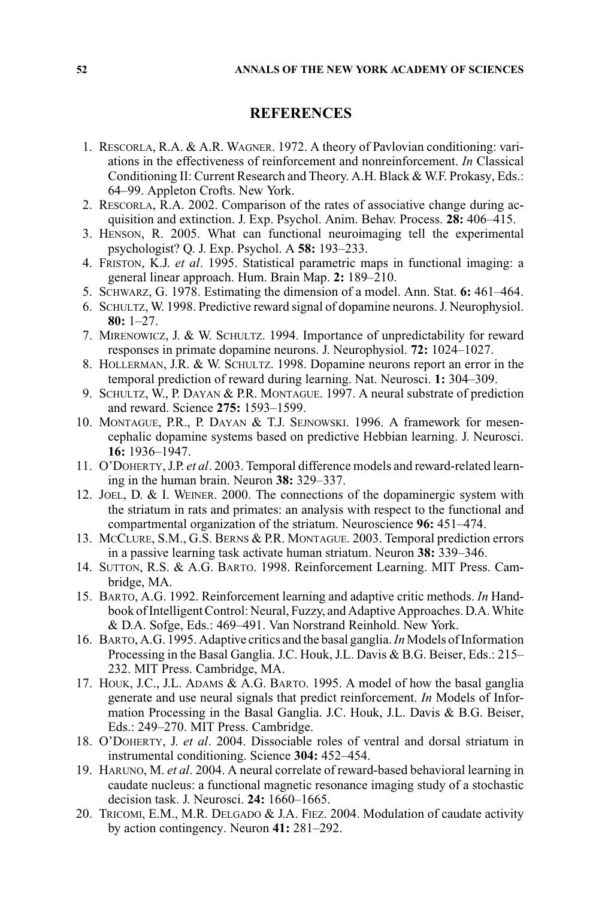#### **REFERENCES**

- 1. RESCORLA, R.A. & A.R. WAGNER. 1972. A theory of Pavlovian conditioning: variations in the effectiveness of reinforcement and nonreinforcement. *In* Classical Conditioning II: Current Research and Theory. A.H. Black & W.F. Prokasy, Eds.: 64–99. Appleton Crofts. New York.
- 2. RESCORLA, R.A. 2002. Comparison of the rates of associative change during acquisition and extinction. J. Exp. Psychol. Anim. Behav. Process. **28:** 406–415.
- 3. HENSON, R. 2005. What can functional neuroimaging tell the experimental psychologist? Q. J. Exp. Psychol. A **58:** 193–233.
- 4. FRISTON, K.J. *et al*. 1995. Statistical parametric maps in functional imaging: a general linear approach. Hum. Brain Map. **2:** 189–210.
- 5. SCHWARZ, G. 1978. Estimating the dimension of a model. Ann. Stat. **6:** 461–464.
- 6. SCHULTZ, W. 1998. Predictive reward signal of dopamine neurons. J. Neurophysiol. **80:** 1–27.
- 7. MIRENOWICZ, J. & W. SCHULTZ. 1994. Importance of unpredictability for reward responses in primate dopamine neurons. J. Neurophysiol. **72:** 1024–1027.
- 8. HOLLERMAN, J.R. & W. SCHULTZ. 1998. Dopamine neurons report an error in the temporal prediction of reward during learning. Nat. Neurosci. **1:** 304–309.
- 9. SCHULTZ, W., P. DAYAN & P.R. MONTAGUE. 1997. A neural substrate of prediction and reward. Science **275:** 1593–1599.
- 10. MONTAGUE, P.R., P. DAYAN & T.J. SEJNOWSKI. 1996. A framework for mesencephalic dopamine systems based on predictive Hebbian learning. J. Neurosci. **16:** 1936–1947.
- 11. O'DOHERTY, J.P. *et al*. 2003. Temporal difference models and reward-related learning in the human brain. Neuron **38:** 329–337.
- 12. JOEL, D. & I. WEINER. 2000. The connections of the dopaminergic system with the striatum in rats and primates: an analysis with respect to the functional and compartmental organization of the striatum. Neuroscience **96:** 451–474.
- 13. MCCLURE, S.M., G.S. BERNS & P.R. MONTAGUE. 2003. Temporal prediction errors in a passive learning task activate human striatum. Neuron **38:** 339–346.
- 14. SUTTON, R.S. & A.G. BARTO. 1998. Reinforcement Learning. MIT Press. Cambridge, MA.
- 15. BARTO, A.G. 1992. Reinforcement learning and adaptive critic methods. *In* Handbook of Intelligent Control: Neural, Fuzzy, and Adaptive Approaches. D.A. White & D.A. Sofge, Eds.: 469–491. Van Norstrand Reinhold. New York.
- 16. BARTO, A.G. 1995. Adaptive critics and the basal ganglia.*In*Models of Information Processing in the Basal Ganglia. J.C. Houk, J.L. Davis & B.G. Beiser, Eds.: 215– 232. MIT Press. Cambridge, MA.
- 17. HOUK, J.C., J.L. ADAMS & A.G. BARTO. 1995. A model of how the basal ganglia generate and use neural signals that predict reinforcement. *In* Models of Information Processing in the Basal Ganglia. J.C. Houk, J.L. Davis & B.G. Beiser, Eds.: 249–270. MIT Press. Cambridge.
- 18. O'DOHERTY, J. *et al*. 2004. Dissociable roles of ventral and dorsal striatum in instrumental conditioning. Science **304:** 452–454.
- 19. HARUNO, M. *et al*. 2004. A neural correlate of reward-based behavioral learning in caudate nucleus: a functional magnetic resonance imaging study of a stochastic decision task. J. Neurosci. **24:** 1660–1665.
- 20. TRICOMI, E.M., M.R. DELGADO & J.A. FIEZ. 2004. Modulation of caudate activity by action contingency. Neuron **41:** 281–292.